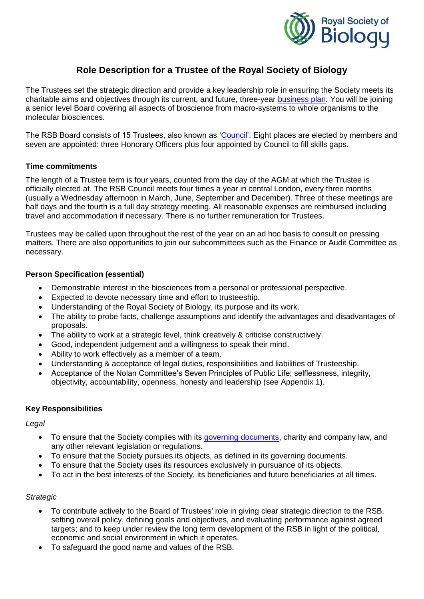

# **Role Description for a Trustee of the Royal Society of Biology**

The Trustees set the strategic direction and provide a key leadership role in ensuring the Society meets its charitable aims and objectives through its current, and future, three-year [business plan.](https://www.rsb.org.uk/plan) You will be joining a senior level Board covering all aspects of bioscience from macro-systems to whole organisms to the molecular biosciences.

The RSB Board consists of 15 Trustees, also known as ['Council'](https://www.rsb.org.uk/about-us/governance/council). Eight places are elected by members and seven are appointed: three Honorary Officers plus four appointed by Council to fill skills gaps.

# **Time commitments**

The length of a Trustee term is four years, counted from the day of the AGM at which the Trustee is officially elected at. The RSB Council meets four times a year in central London, every three months (usually a Wednesday afternoon in March, June, September and December). Three of these meetings are half days and the fourth is a full day strategy meeting. All reasonable expenses are reimbursed including travel and accommodation if necessary. There is no further remuneration for Trustees.

Trustees may be called upon throughout the rest of the year on an ad hoc basis to consult on pressing matters. There are also opportunities to join our subcommittees such as the Finance or Audit Committee as necessary.

# **Person Specification (essential)**

- Demonstrable interest in the biosciences from a personal or professional perspective.
- Expected to devote necessary time and effort to trusteeship.
- Understanding of the Royal Society of Biology, its purpose and its work.
- The ability to probe facts, challenge assumptions and identify the advantages and disadvantages of proposals.
- The ability to work at a strategic level, think creatively & criticise constructively.
- Good, independent judgement and a willingness to speak their mind.
- Ability to work effectively as a member of a team.
- Understanding & acceptance of legal duties, responsibilities and liabilities of Trusteeship.
- Acceptance of the Nolan Committee's Seven Principles of Public Life; selflessness, integrity, objectivity, accountability, openness, honesty and leadership (see Appendix 1).

# **Key Responsibilities**

# *Legal*

- To ensure that the Society complies with its [governing documents,](https://www.rsb.org.uk/about-us/governance) charity and company law, and any other relevant legislation or regulations.
- To ensure that the Society pursues its objects, as defined in its governing documents.
- To ensure that the Society uses its resources exclusively in pursuance of its objects.
- To act in the best interests of the Society, its beneficiaries and future beneficiaries at all times.

# *Strategic*

- To contribute actively to the Board of Trustees' role in giving clear strategic direction to the RSB, setting overall policy, defining goals and objectives, and evaluating performance against agreed targets; and to keep under review the long term development of the RSB in light of the political, economic and social environment in which it operates.
- To safeguard the good name and values of the RSB.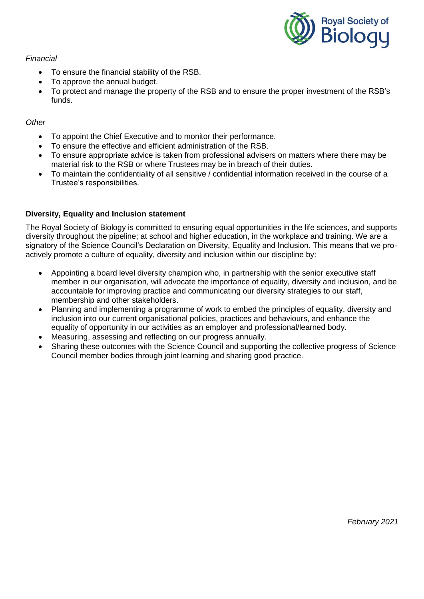

### *Financial*

- To ensure the financial stability of the RSB.
- To approve the annual budget.
- To protect and manage the property of the RSB and to ensure the proper investment of the RSB's funds.

# *Other*

- To appoint the Chief Executive and to monitor their performance.
- To ensure the effective and efficient administration of the RSB.
- To ensure appropriate advice is taken from professional advisers on matters where there may be material risk to the RSB or where Trustees may be in breach of their duties.
- To maintain the confidentiality of all sensitive / confidential information received in the course of a Trustee's responsibilities.

# **Diversity, Equality and Inclusion statement**

The Royal Society of Biology is committed to ensuring equal opportunities in the life sciences, and supports diversity throughout the pipeline; at school and higher education, in the workplace and training. We are a signatory of the Science Council's Declaration on Diversity, Equality and Inclusion. This means that we proactively promote a culture of equality, diversity and inclusion within our discipline by:

- Appointing a board level diversity champion who, in partnership with the senior executive staff member in our organisation, will advocate the importance of equality, diversity and inclusion, and be accountable for improving practice and communicating our diversity strategies to our staff, membership and other stakeholders.
- Planning and implementing a programme of work to embed the principles of equality, diversity and inclusion into our current organisational policies, practices and behaviours, and enhance the equality of opportunity in our activities as an employer and professional/learned body.
- Measuring, assessing and reflecting on our progress annually.
- Sharing these outcomes with the Science Council and supporting the collective progress of Science Council member bodies through joint learning and sharing good practice.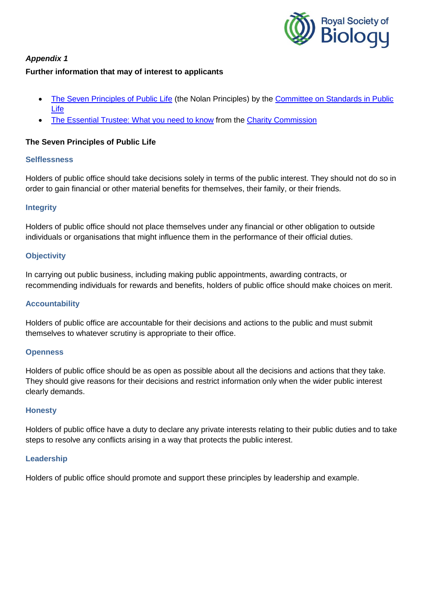

# *Appendix 1* **Further information that may of interest to applicants**

- [The Seven Principles of Public Life](https://www.gov.uk/government/publications/the-7-principles-of-public-life) (the Nolan Principles) by the Committee on Standards in Public [Life](https://www.gov.uk/government/organisations/the-committee-on-standards-in-public-life)
- [The Essential Trustee: What you need to know](https://www.gov.uk/government/publications/the-essential-trustee-what-you-need-to-know-cc3#b2) from the [Charity Commission](http://www.charitycommission.gov.uk/index.aspx)

# **The Seven Principles of Public Life**

# **Selflessness**

Holders of public office should take decisions solely in terms of the public interest. They should not do so in order to gain financial or other material benefits for themselves, their family, or their friends.

### **Integrity**

Holders of public office should not place themselves under any financial or other obligation to outside individuals or organisations that might influence them in the performance of their official duties.

### **Objectivity**

In carrying out public business, including making public appointments, awarding contracts, or recommending individuals for rewards and benefits, holders of public office should make choices on merit.

## **Accountability**

Holders of public office are accountable for their decisions and actions to the public and must submit themselves to whatever scrutiny is appropriate to their office.

#### **Openness**

Holders of public office should be as open as possible about all the decisions and actions that they take. They should give reasons for their decisions and restrict information only when the wider public interest clearly demands.

#### **Honesty**

Holders of public office have a duty to declare any private interests relating to their public duties and to take steps to resolve any conflicts arising in a way that protects the public interest.

#### **Leadership**

Holders of public office should promote and support these principles by leadership and example.